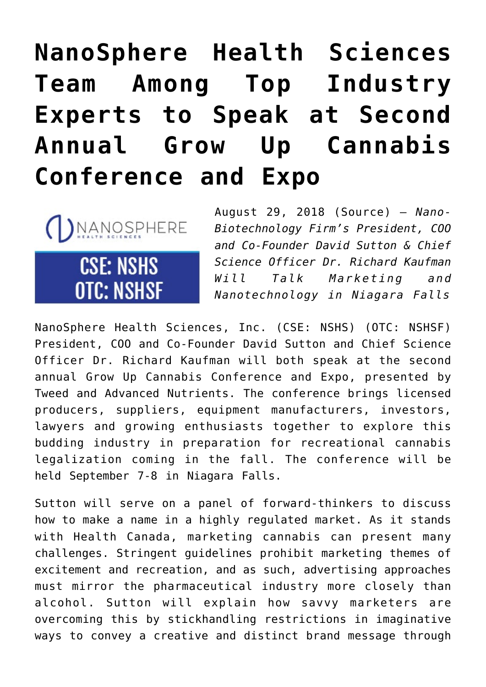# **[NanoSphere Health Sciences](https://investorintel.com/markets/agribusiness-mmj/agbusiness-mmj-news/nanosphere-health-sciences-team-among-top-industry-experts-speak-second-annual-grow-cannabis-conference-expo/) [Team Among Top Industry](https://investorintel.com/markets/agribusiness-mmj/agbusiness-mmj-news/nanosphere-health-sciences-team-among-top-industry-experts-speak-second-annual-grow-cannabis-conference-expo/) [Experts to Speak at Second](https://investorintel.com/markets/agribusiness-mmj/agbusiness-mmj-news/nanosphere-health-sciences-team-among-top-industry-experts-speak-second-annual-grow-cannabis-conference-expo/) [Annual Grow Up Cannabis](https://investorintel.com/markets/agribusiness-mmj/agbusiness-mmj-news/nanosphere-health-sciences-team-among-top-industry-experts-speak-second-annual-grow-cannabis-conference-expo/) [Conference and Expo](https://investorintel.com/markets/agribusiness-mmj/agbusiness-mmj-news/nanosphere-health-sciences-team-among-top-industry-experts-speak-second-annual-grow-cannabis-conference-expo/)**



August 29, 2018 ([Source\)](https://investorintel.com/iintel-members/nanosphere-health-sciences-inc/) — *Nano-Biotechnology Firm's President, COO and Co-Founder David Sutton & Chief Science Officer Dr. Richard Kaufman Will Talk Marketing and Nanotechnology in Niagara Falls*

[NanoSphere Health Sciences, Inc.](https://www.nanospherehealth.com/) (CSE: NSHS) (OTC: NSHSF) President, COO and Co-Founder David Sutton and Chief Science Officer Dr. Richard Kaufman will both speak at the second annual Grow Up Cannabis Conference and Expo, presented by Tweed and Advanced Nutrients. The conference brings licensed producers, suppliers, equipment manufacturers, investors, lawyers and growing enthusiasts together to explore this budding industry in preparation for recreational cannabis legalization coming in the fall. The conference will be held September 7-8 in Niagara Falls.

Sutton will serve on a panel of forward-thinkers to discuss how to make a name in a highly regulated market. As it stands with Health Canada, marketing cannabis can present many challenges. Stringent guidelines prohibit marketing themes of excitement and recreation, and as such, advertising approaches must mirror the pharmaceutical industry more closely than alcohol. Sutton will explain how savvy marketers are overcoming this by stickhandling restrictions in imaginative ways to convey a creative and distinct brand message through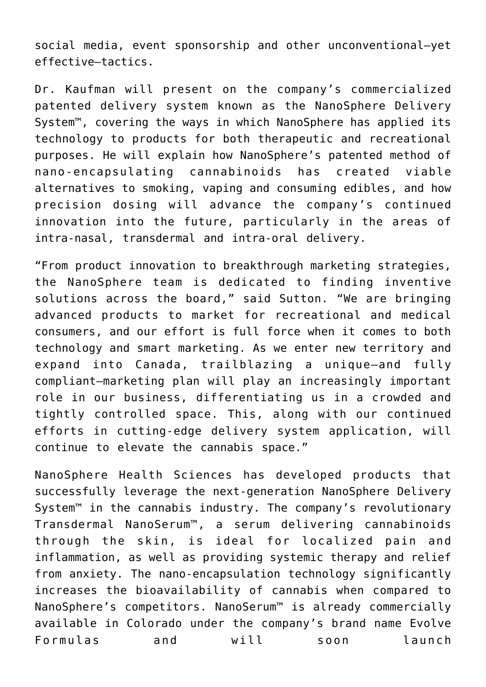social media, event sponsorship and other unconventional—yet effective—tactics.

Dr. Kaufman will present on the company's commercialized patented delivery system known as the NanoSphere Delivery System™, covering the ways in which NanoSphere has applied its technology to products for both therapeutic and recreational purposes. He will explain how NanoSphere's patented method of nano-encapsulating cannabinoids has created viable alternatives to smoking, vaping and consuming edibles, and how precision dosing will advance the company's continued innovation into the future, particularly in the areas of intra-nasal, transdermal and intra-oral delivery.

"From product innovation to breakthrough marketing strategies, the NanoSphere team is dedicated to finding inventive solutions across the board," said Sutton. "We are bringing advanced products to market for recreational and medical consumers, and our effort is full force when it comes to both technology and smart marketing. As we enter new territory and expand into Canada, trailblazing a unique—and fully compliant—marketing plan will play an increasingly important role in our business, differentiating us in a crowded and tightly controlled space. This, along with our continued efforts in cutting-edge delivery system application, will continue to elevate the cannabis space."

NanoSphere Health Sciences has developed products that successfully leverage the next-generation NanoSphere Delivery System<sup>™</sup> in the cannabis industry. The company's revolutionary Transdermal NanoSerum™, a serum delivering cannabinoids through the skin, is ideal for localized pain and inflammation, as well as providing systemic therapy and relief from anxiety. The nano-encapsulation technology significantly increases the bioavailability of cannabis when compared to NanoSphere's competitors. NanoSerum<sup>™</sup> is already commercially available in Colorado under the company's brand name Evolve Formulas and will soon launch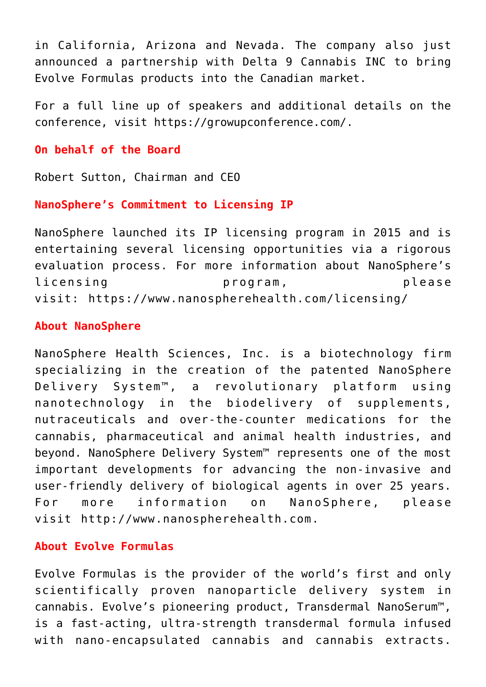in California, Arizona and Nevada. The company also just announced a partnership with Delta 9 Cannabis INC to bring Evolve Formulas products into the Canadian market.

For a full line up of speakers and additional details on the conference, visit <https://growupconference.com/>.

#### **On behalf of the Board**

Robert Sutton, Chairman and CEO

## **NanoSphere's Commitment to Licensing IP**

NanoSphere launched its IP licensing program in 2015 and is entertaining several licensing opportunities via a rigorous evaluation process. For more information about NanoSphere's licensing program, please visit: <https://www.nanospherehealth.com/licensing/>

## **About NanoSphere**

NanoSphere Health Sciences, Inc. is a biotechnology firm specializing in the creation of the patented NanoSphere Delivery System™, a revolutionary platform using nanotechnology in the biodelivery of supplements, nutraceuticals and over-the-counter medications for the cannabis, pharmaceutical and animal health industries, and beyond. NanoSphere Delivery System™ represents one of the most important developments for advancing the non-invasive and user-friendly delivery of biological agents in over 25 years. For more information on NanoSphere, please visit [http://www.nanospherehealth.com](http://www.nanospherehealth.com/).

## **About Evolve Formulas**

Evolve Formulas is the provider of the world's first and only scientifically proven nanoparticle delivery system in cannabis. Evolve's pioneering product, Transdermal NanoSerum™, is a fast-acting, ultra-strength transdermal formula infused with nano-encapsulated cannabis and cannabis extracts.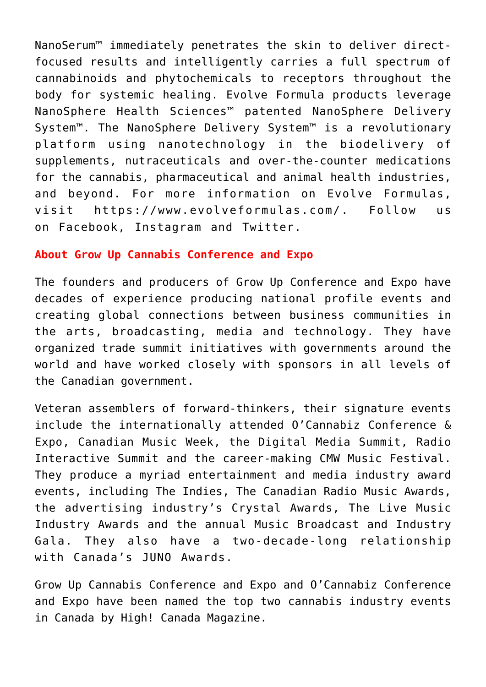NanoSerum™ immediately penetrates the skin to deliver directfocused results and intelligently carries a full spectrum of cannabinoids and phytochemicals to receptors throughout the body for systemic healing. Evolve Formula products leverage NanoSphere Health Sciences™ patented NanoSphere Delivery System™. The NanoSphere Delivery System™ is a revolutionary platform using nanotechnology in the biodelivery of supplements, nutraceuticals and over-the-counter medications for the cannabis, pharmaceutical and animal health industries, and beyond. For more information on Evolve Formulas, visit <https://www.evolveformulas.com/>. Follow us on [Facebook,](https://www.facebook.com/evolveformulas) [Instagram](https://www.instagram.com/evolve.formulas/) and [Twitter.](https://twitter.com/evolve_formulas)

## **About Grow Up Cannabis Conference and Expo**

The founders and producers of Grow Up Conference and Expo have decades of experience producing national profile events and creating global connections between business communities in the arts, broadcasting, media and technology. They have organized trade summit initiatives with governments around the world and have worked closely with sponsors in all levels of the Canadian government.

Veteran assemblers of forward-thinkers, their signature events include the internationally attended O'Cannabiz Conference & Expo, Canadian Music Week, the Digital Media Summit, Radio Interactive Summit and the career-making CMW Music Festival. They produce a myriad entertainment and media industry award events, including The Indies, The Canadian Radio Music Awards, the advertising industry's Crystal Awards, The Live Music Industry Awards and the annual Music Broadcast and Industry Gala. They also have a two-decade-long relationship with Canada's JUNO Awards.

Grow Up Cannabis Conference and Expo and O'Cannabiz Conference and Expo have been named the top two cannabis industry events in Canada by High! Canada Magazine.